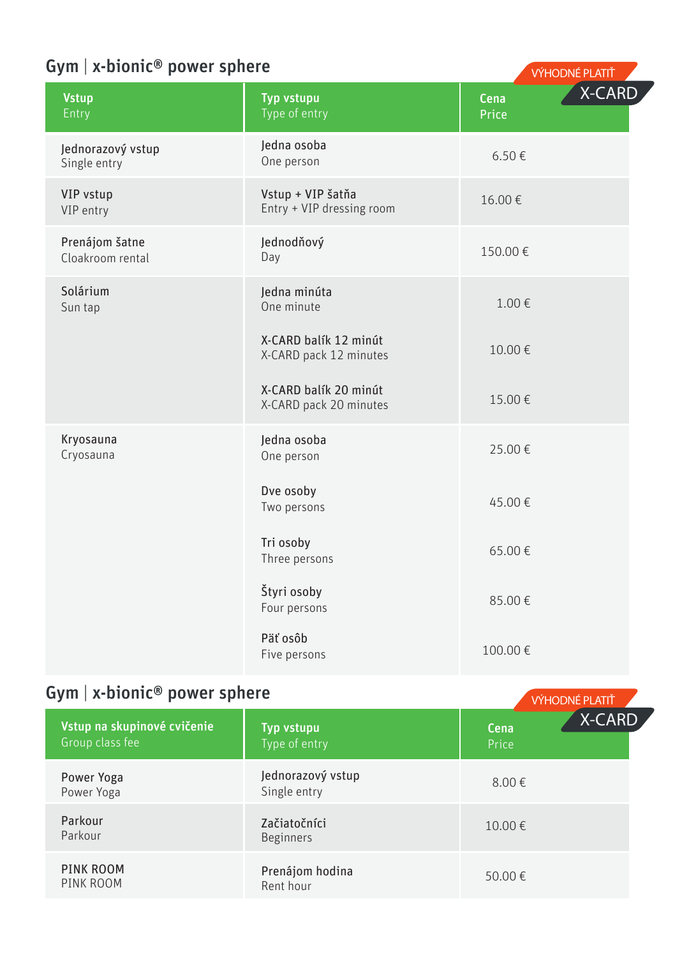# Gym | x-bionic® power sphere

| <b>Vstup</b><br>Entry              | Typ vstupu<br>Type of entry                     | Cena<br>Price | <b>X-CARD</b> |
|------------------------------------|-------------------------------------------------|---------------|---------------|
| Jednorazový vstup<br>Single entry  | ledna osoba<br>One person                       | $6.50 \in$    |               |
| VIP vstup<br>VIP entry             | Vstup + VIP šatňa<br>Entry + VIP dressing room  | 16.00€        |               |
| Prenájom šatne<br>Cloakroom rental | Jednodňový<br>Day                               | 150.00€       |               |
| Solárium<br>Sun tap                | Jedna minúta<br>One minute                      | 1.00€         |               |
|                                    | X-CARD balík 12 minút<br>X-CARD pack 12 minutes | 10.00€        |               |
|                                    | X-CARD balík 20 minút<br>X-CARD pack 20 minutes | 15.00€        |               |
| Kryosauna<br>Cryosauna             | Jedna osoba<br>One person                       | 25.00 €       |               |
|                                    | Dve osoby<br>Two persons                        | 45.00€        |               |
|                                    | Tri osoby<br>Three persons                      | 65.00€        |               |
|                                    | Štyri osoby<br>Four persons                     | 85.00€        |               |
|                                    | Päť osôb<br>Five persons                        | 100.00€       |               |

VÝHODNÉ PLATIŤ

## Gym | x-bionic® power sphere VÝHODNÉ PLATIT

| Vstup na skupinové cvičenie<br>Group class fee | Typ vstupu<br>Type of entry       | Cena<br>Price | X-CARD |
|------------------------------------------------|-----------------------------------|---------------|--------|
| Power Yoga<br>Power Yoga                       | Jednorazový vstup<br>Single entry | $8.00 \in$    |        |
| Parkour<br>Parkour                             | Začiatočníci<br><b>Beginners</b>  | $10.00 \in$   |        |
| PINK ROOM<br>PINK ROOM                         | Prenájom hodina<br>Rent hour      | 50.00€        |        |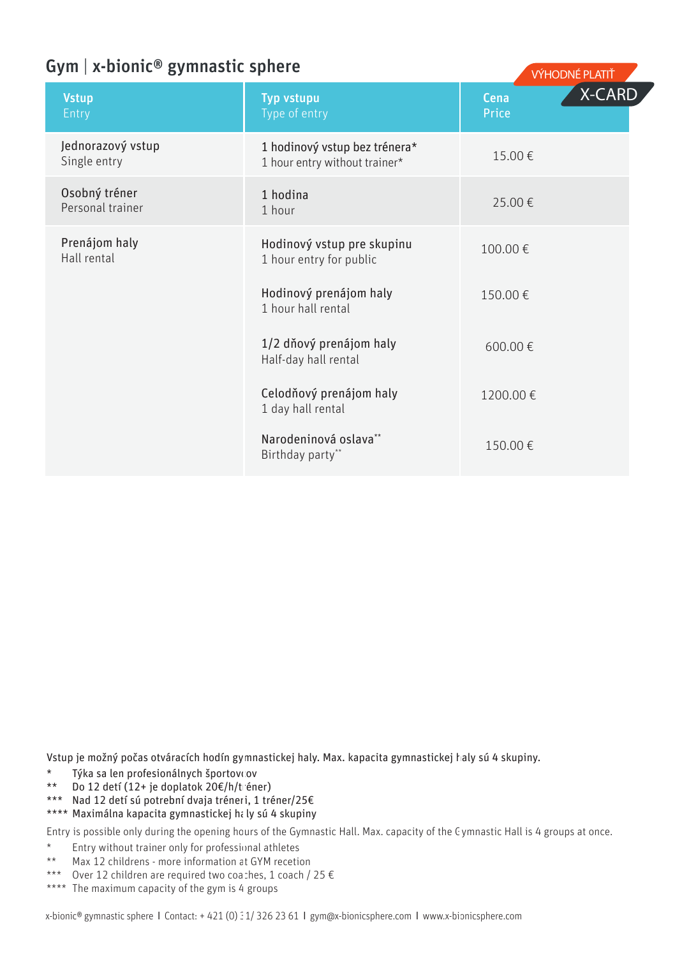### Gym | x-bionic® gymnastic sphere

|                                   |                                                                |               | .             |
|-----------------------------------|----------------------------------------------------------------|---------------|---------------|
| <b>Vstup</b><br>Entry             | Typ vstupu<br>Type of entry                                    | Cena<br>Price | <b>X-CARD</b> |
| Jednorazový vstup<br>Single entry | 1 hodinový vstup bez trénera*<br>1 hour entry without trainer* | 15.00€        |               |
| Osobný tréner<br>Personal trainer | 1 hodina<br>1 hour                                             | 25.00€        |               |
| Prenájom haly<br>Hall rental      | Hodinový vstup pre skupinu<br>1 hour entry for public          | 100.00€       |               |
|                                   | Hodinový prenájom haly<br>1 hour hall rental                   | 150.00€       |               |
|                                   | 1/2 dňový prenájom haly<br>Half-day hall rental                | 600.00€       |               |
|                                   | Celodňový prenájom haly<br>1 day hall rental                   | 1200.00€      |               |
|                                   | Narodeninová oslava**<br>Birthday party**                      | 150.00€       |               |
|                                   |                                                                |               |               |

VÝHODNÉ DLATIT

Vstup je možný počas otváracích hodín gymnastickej haly. Max. kapacita gymnastickej haly sú 4 skupiny.

- \* Týka sa len profesionálnych športovcov<br>\*\* Do 12 detí (12+ je donlatok 20€/h/trén
- $\overline{D}$ o 12 detí (12+ je doplatok 20€/h/tréner)
- \*\*\* Nad 12 detí sú potrební dvaja tréneri, 1 tréner/25€

### \*\*\*\* Maximálna kapacita gymnastickej haly sú 4 skupiny

Entry is possible only during the opening hours of the Gymnastic Hall. Max. capacity of the Gymnastic Hall is 4 groups at once.

- \* Entry without trainer only for professional athletes<br>\*\* Max 12 shildrens, more information at CVM resolution
- Max 12 childrens more information at GYM recetion
- \*\*\* Over 12 children are required two coaches, 1 coach / 25 €
- \*\*\*\* The maximum capacity of the gym is 4 groups

x-bionic® gymnastic sphere l Contact: + 421 (0) 31/ 326 23 61 l gym@x-bionicsphere.com l www.x-bionicsphere.com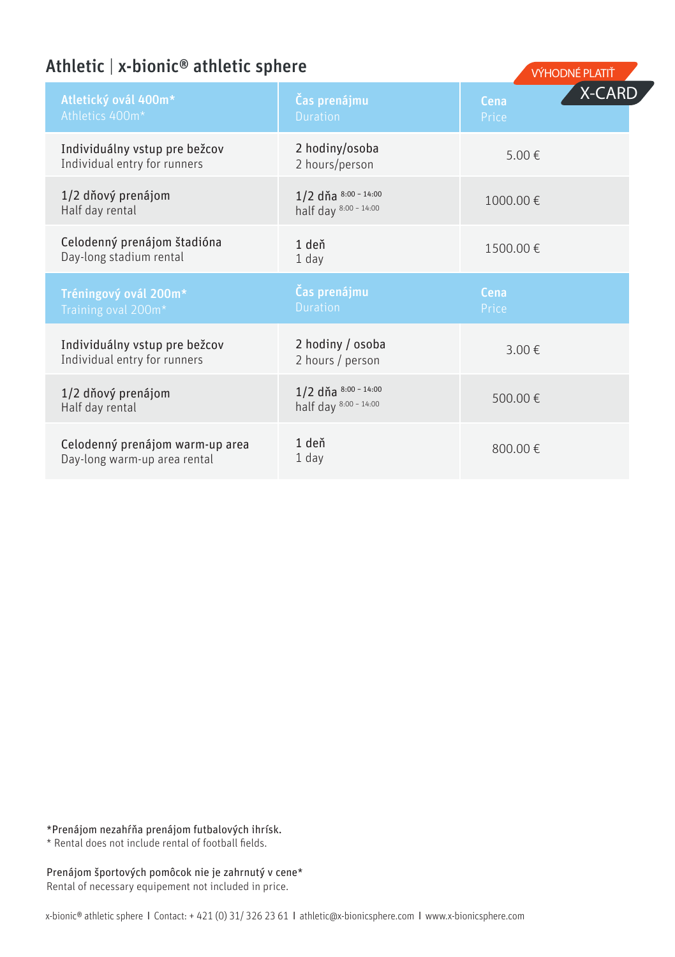### Athletic  $\vert x\text{-bionic}^{\circledast}$  athletic sphere

|                                                                 |                                               |               | <b>VILIODINE FLAILI</b> |
|-----------------------------------------------------------------|-----------------------------------------------|---------------|-------------------------|
| Atletický ovál 400m*<br>Athletics 400m*                         | Čas prenájmu<br><b>Duration</b>               | Cena<br>Price | <b>X-CARD</b>           |
| Individuálny vstup pre bežcov<br>Individual entry for runners   | 2 hodiny/osoba<br>2 hours/person              | 5.00€         |                         |
| 1/2 dňový prenájom<br>Half day rental                           | 1/2 dňa 8:00 - 14:00<br>half day 8:00 - 14:00 | 1000.00€      |                         |
| Celodenný prenájom štadióna<br>Day-long stadium rental          | 1 deň<br>$1$ day                              | 1500.00€      |                         |
| Tréningový ovál 200m*<br>Training oval 200m*                    | Čas prenájmu<br><b>Duration</b>               | Cena<br>Price |                         |
| Individuálny vstup pre bežcov<br>Individual entry for runners   | 2 hodiny / osoba<br>2 hours / person          | 3.00€         |                         |
| 1/2 dňový prenájom<br>Half day rental                           | 1/2 dňa 8:00 - 14:00<br>half day 8:00 - 14:00 | 500.00€       |                         |
| Celodenný prenájom warm-up area<br>Day-long warm-up area rental | 1 deň<br>$1$ day                              | 800.00€       |                         |
|                                                                 |                                               |               |                         |

#### \*Prenájom nezahŕňa prenájom futbalových ihrísk.

\* Rental does not include rental of football fields.

#### Prenájom športových pomôcok nie je zahrnutý v cene\* Rental of necessary equipement not included in price.